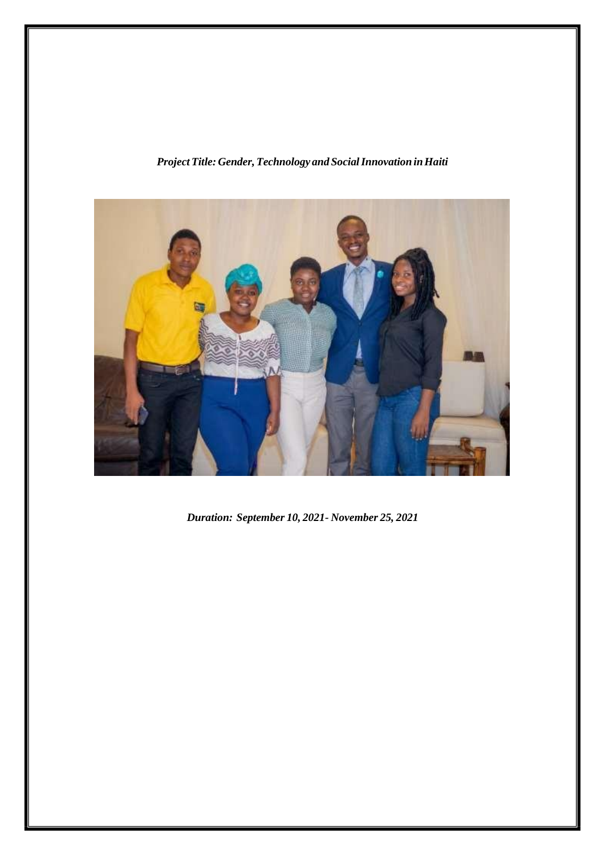## *ProjectTitle: Gender,Technology and SocialInnovation inHaiti*



*Duration: September 10, 2021- November 25, 2021*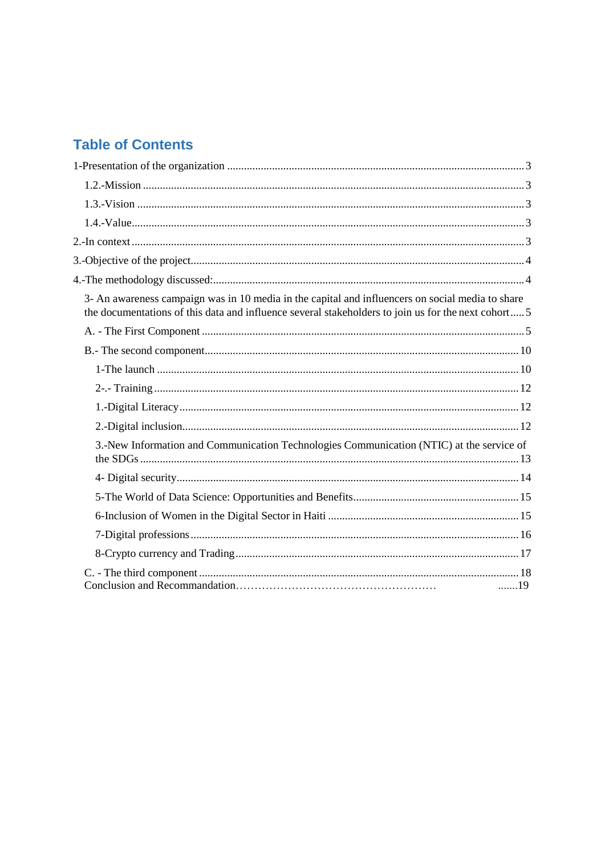# **Table of Contents**

| 3- An awareness campaign was in 10 media in the capital and influencers on social media to share<br>the documentations of this data and influence several stakeholders to join us for the next cohort5 |
|--------------------------------------------------------------------------------------------------------------------------------------------------------------------------------------------------------|
|                                                                                                                                                                                                        |
|                                                                                                                                                                                                        |
|                                                                                                                                                                                                        |
|                                                                                                                                                                                                        |
|                                                                                                                                                                                                        |
|                                                                                                                                                                                                        |
| 3.-New Information and Communication Technologies Communication (NTIC) at the service of                                                                                                               |
|                                                                                                                                                                                                        |
|                                                                                                                                                                                                        |
|                                                                                                                                                                                                        |
|                                                                                                                                                                                                        |
|                                                                                                                                                                                                        |
| 19                                                                                                                                                                                                     |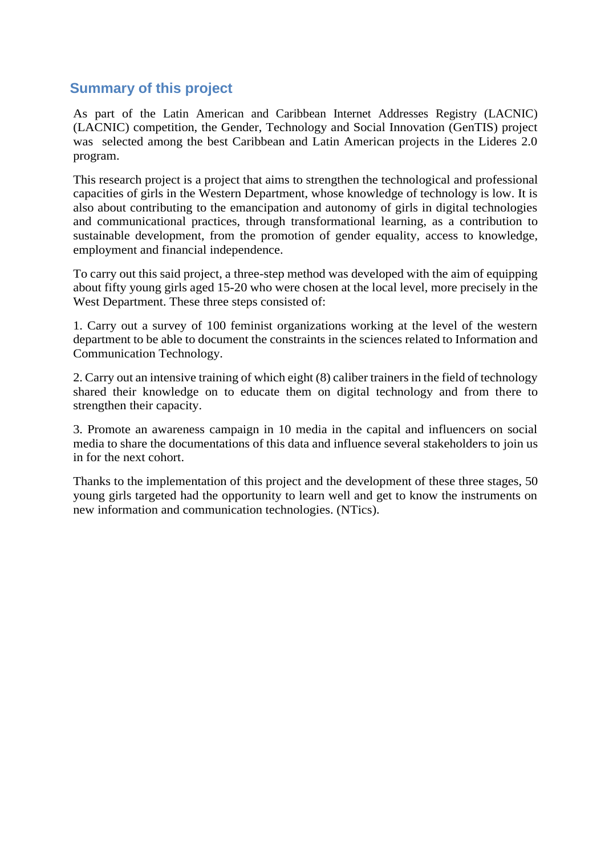## **Summary of this project**

As part of the Latin American and Caribbean Internet Addresses Registry (LACNIC) (LACNIC) competition, the Gender, Technology and Social Innovation (GenTIS) project was selected among the best Caribbean and Latin American projects in the Lideres 2.0 program.

This research project is a project that aims to strengthen the technological and professional capacities of girls in the Western Department, whose knowledge of technology is low. It is also about contributing to the emancipation and autonomy of girls in digital technologies and communicational practices, through transformational learning, as a contribution to sustainable development, from the promotion of gender equality, access to knowledge, employment and financial independence.

To carry out this said project, a three-step method was developed with the aim of equipping about fifty young girls aged 15-20 who were chosen at the local level, more precisely in the West Department. These three steps consisted of:

1. Carry out a survey of 100 feminist organizations working at the level of the western department to be able to document the constraints in the sciences related to Information and Communication Technology.

2. Carry out an intensive training of which eight (8) caliber trainers in the field of technology shared their knowledge on to educate them on digital technology and from there to strengthen their capacity.

3. Promote an awareness campaign in 10 media in the capital and influencers on social media to share the documentations of this data and influence several stakeholders to join us in for the next cohort.

Thanks to the implementation of this project and the development of these three stages, 50 young girls targeted had the opportunity to learn well and get to know the instruments on new information and communication technologies. (NTics).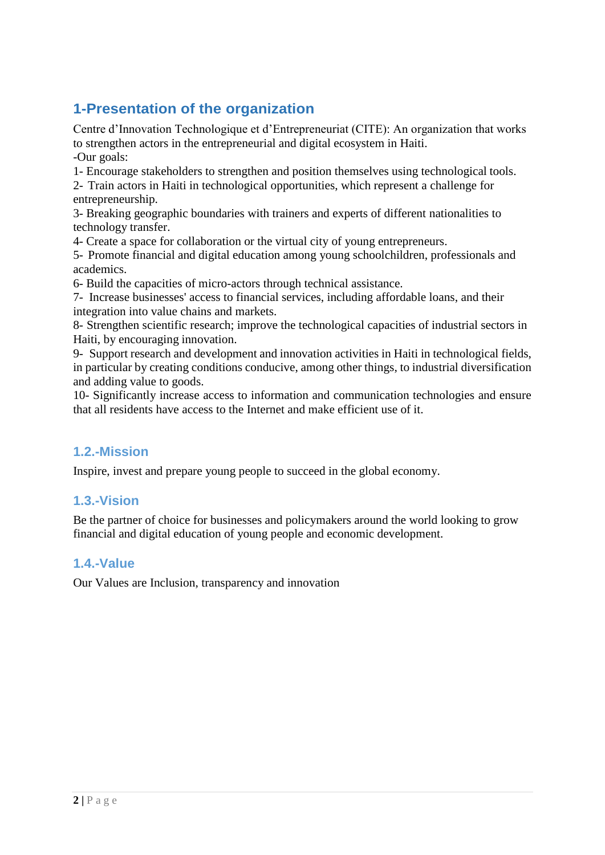## **1-Presentation of the organization**

Centre d'Innovation Technologique et d'Entrepreneuriat (CITE): An organization that works to strengthen actors in the entrepreneurial and digital ecosystem in Haiti. -Our goals:

1- Encourage stakeholders to strengthen and position themselves using technological tools.

2- Train actors in Haiti in technological opportunities, which represent a challenge for entrepreneurship.

3- Breaking geographic boundaries with trainers and experts of different nationalities to technology transfer.

4- Create a space for collaboration or the virtual city of young entrepreneurs.

5- Promote financial and digital education among young schoolchildren, professionals and academics.

6- Build the capacities of micro-actors through technical assistance.

7- Increase businesses' access to financial services, including affordable loans, and their integration into value chains and markets.

8- Strengthen scientific research; improve the technological capacities of industrial sectors in Haiti, by encouraging innovation.

9- Support research and development and innovation activities in Haiti in technological fields, in particular by creating conditions conducive, among other things, to industrial diversification and adding value to goods.

10- Significantly increase access to information and communication technologies and ensure that all residents have access to the Internet and make efficient use of it.

## <span id="page-3-0"></span>**1.2.-Mission**

Inspire, invest and prepare young people to succeed in the global economy.

## <span id="page-3-1"></span>**1.3.-Vision**

Be the partner of choice for businesses and policymakers around the world looking to grow financial and digital education of young people and economic development.

## <span id="page-3-2"></span>**1.4.-Value**

Our Values are Inclusion, transparency and innovation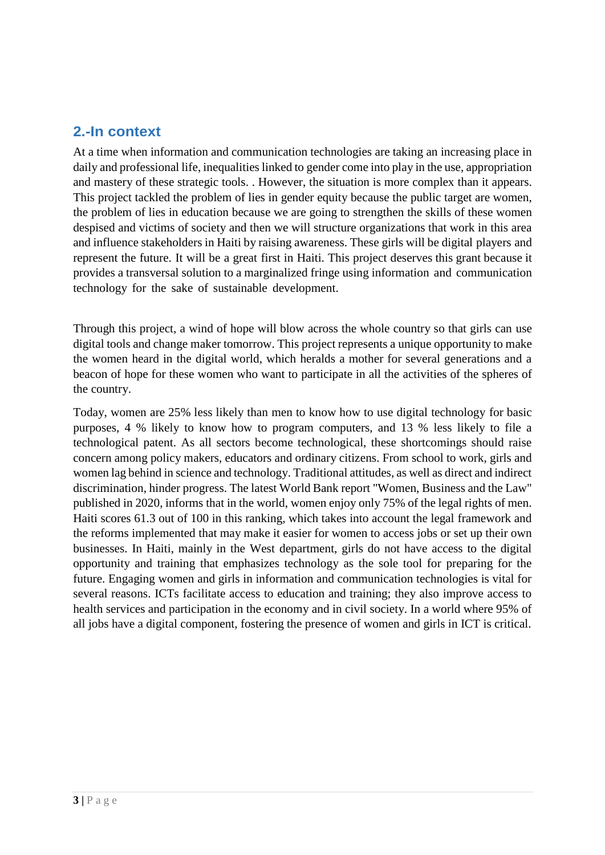## <span id="page-4-1"></span><span id="page-4-0"></span>**2.-In context**

At a time when information and communication technologies are taking an increasing place in daily and professional life, inequalities linked to gender come into play in the use, appropriation and mastery of these strategic tools. . However, the situation is more complex than it appears. This project tackled the problem of lies in gender equity because the public target are women, the problem of lies in education because we are going to strengthen the skills of these women despised and victims of society and then we will structure organizations that work in this area and influence stakeholders in Haiti by raising awareness. These girls will be digital players and represent the future. It will be a great first in Haiti. This project deserves this grant because it provides a transversal solution to a marginalized fringe using information and communication technology for the sake of sustainable development.

Through this project, a wind of hope will blow across the whole country so that girls can use digital tools and change maker tomorrow. This project represents a unique opportunity to make the women heard in the digital world, which heralds a mother for several generations and a beacon of hope for these women who want to participate in all the activities of the spheres of the country.

Today, women are 25% less likely than men to know how to use digital technology for basic purposes, 4 % likely to know how to program computers, and 13 % less likely to file a technological patent. As all sectors become technological, these shortcomings should raise concern among policy makers, educators and ordinary citizens. From school to work, girls and women lag behind in science and technology. Traditional attitudes, as well as direct and indirect discrimination, hinder progress. The latest World Bank report "Women, Business and the Law" published in 2020, informs that in the world, women enjoy only 75% of the legal rights of men. Haiti scores 61.3 out of 100 in this ranking, which takes into account the legal framework and the reforms implemented that may make it easier for women to access jobs or set up their own businesses. In Haiti, mainly in the West department, girls do not have access to the digital opportunity and training that emphasizes technology as the sole tool for preparing for the future. Engaging women and girls in information and communication technologies is vital for several reasons. ICTs facilitate access to education and training; they also improve access to health services and participation in the economy and in civil society. In a world where 95% of all jobs have a digital component, fostering the presence of women and girls in ICT is critical.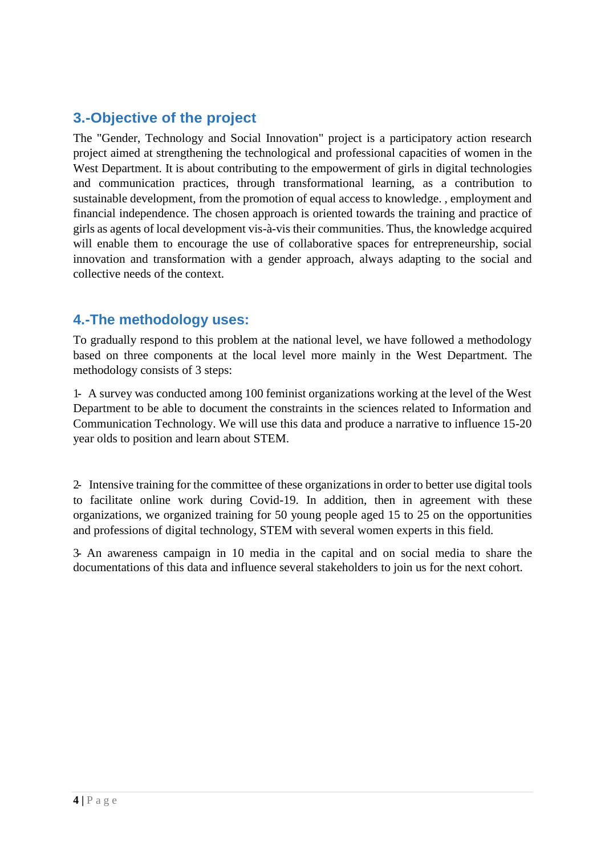## <span id="page-5-0"></span>**3.-Objective of the project**

The "Gender, Technology and Social Innovation" project is a participatory action research project aimed at strengthening the technological and professional capacities of women in the West Department. It is about contributing to the empowerment of girls in digital technologies and communication practices, through transformational learning, as a contribution to sustainable development, from the promotion of equal access to knowledge. , employment and financial independence. The chosen approach is oriented towards the training and practice of girls as agents of local development vis-à-vis their communities. Thus, the knowledge acquired will enable them to encourage the use of collaborative spaces for entrepreneurship, social innovation and transformation with a gender approach, always adapting to the social and collective needs of the context.

## <span id="page-5-1"></span>**4.-The methodology uses:**

To gradually respond to this problem at the national level, we have followed a methodology based on three components at the local level more mainly in the West Department. The methodology consists of 3 steps:

1- A survey was conducted among 100 feminist organizations working at the level of the West Department to be able to document the constraints in the sciences related to Information and Communication Technology. We will use this data and produce a narrative to influence 15-20 year olds to position and learn about STEM.

2- Intensive training for the committee of these organizations in order to better use digital tools to facilitate online work during Covid-19. In addition, then in agreement with these organizations, we organized training for 50 young people aged 15 to 25 on the opportunities and professions of digital technology, STEM with several women experts in this field.

<span id="page-5-2"></span>3- An awareness campaign in 10 media in the capital and on social media to share the documentations of this data and influence several stakeholders to join us for the next cohort.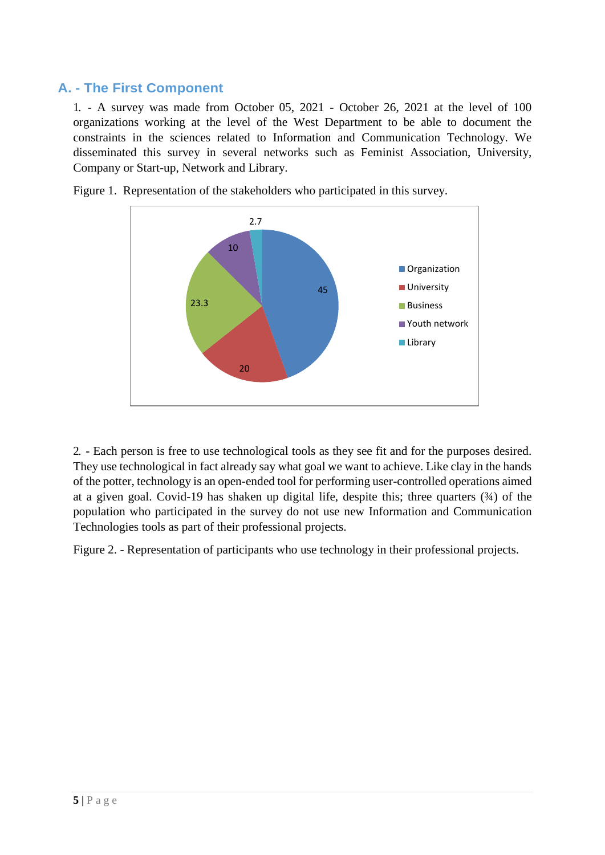## <span id="page-6-0"></span>**A. - The First Component**

1. - A survey was made from October 05, 2021 - October 26, 2021 at the level of 100 organizations working at the level of the West Department to be able to document the constraints in the sciences related to Information and Communication Technology. We disseminated this survey in several networks such as Feminist Association, University, Company or Start-up, Network and Library.



Figure 1. Representation of the stakeholders who participated in this survey.

2. - Each person is free to use technological tools as they see fit and for the purposes desired. They use technological in fact already say what goal we want to achieve. Like clay in the hands of the potter, technology is an open-ended tool for performing user-controlled operations aimed at a given goal. Covid-19 has shaken up digital life, despite this; three quarters  $(34)$  of the population who participated in the survey do not use new Information and Communication Technologies tools as part of their professional projects.

Figure 2. - Representation of participants who use technology in their professional projects.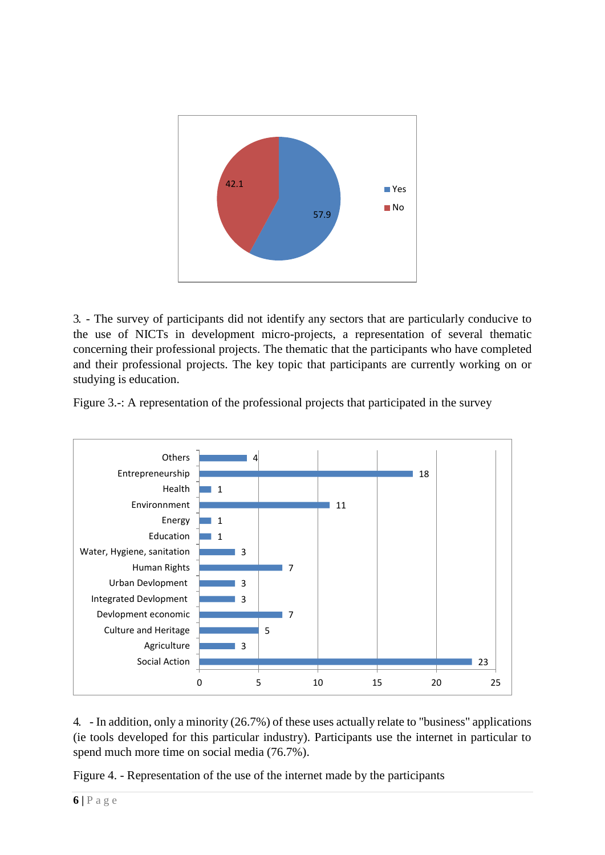

3. - The survey of participants did not identify any sectors that are particularly conducive to the use of NICTs in development micro-projects, a representation of several thematic concerning their professional projects. The thematic that the participants who have completed and their professional projects. The key topic that participants are currently working on or studying is education.





4. - In addition, only a minority (26.7%) of these uses actually relate to "business" applications (ie tools developed for this particular industry). Participants use the internet in particular to spend much more time on social media (76.7%).

Figure 4. - Representation of the use of the internet made by the participants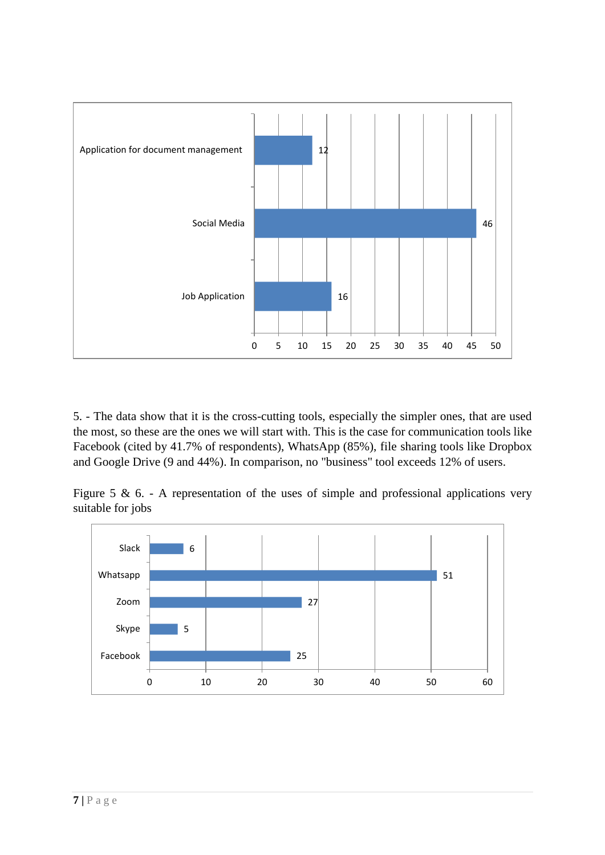

5. - The data show that it is the cross-cutting tools, especially the simpler ones, that are used the most, so these are the ones we will start with. This is the case for communication tools like Facebook (cited by 41.7% of respondents), WhatsApp (85%), file sharing tools like Dropbox and Google Drive (9 and 44%). In comparison, no "business" tool exceeds 12% of users.

Figure 5 & 6. - A representation of the uses of simple and professional applications very suitable for jobs

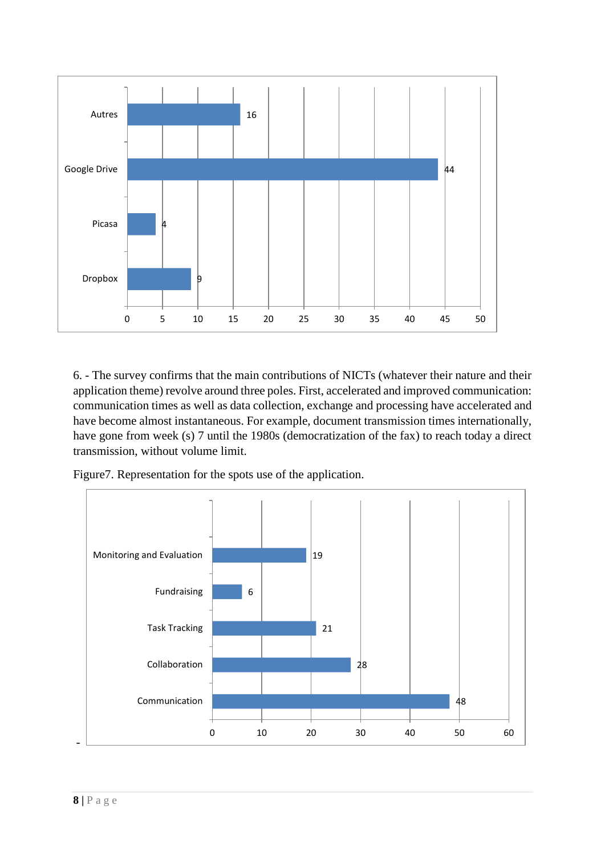

6. - The survey confirms that the main contributions of NICTs (whatever their nature and their application theme) revolve around three poles. First, accelerated and improved communication: communication times as well as data collection, exchange and processing have accelerated and have become almost instantaneous. For example, document transmission times internationally, have gone from week (s) 7 until the 1980s (democratization of the fax) to reach today a direct transmission, without volume limit.

Figure7. Representation for the spots use of the application.

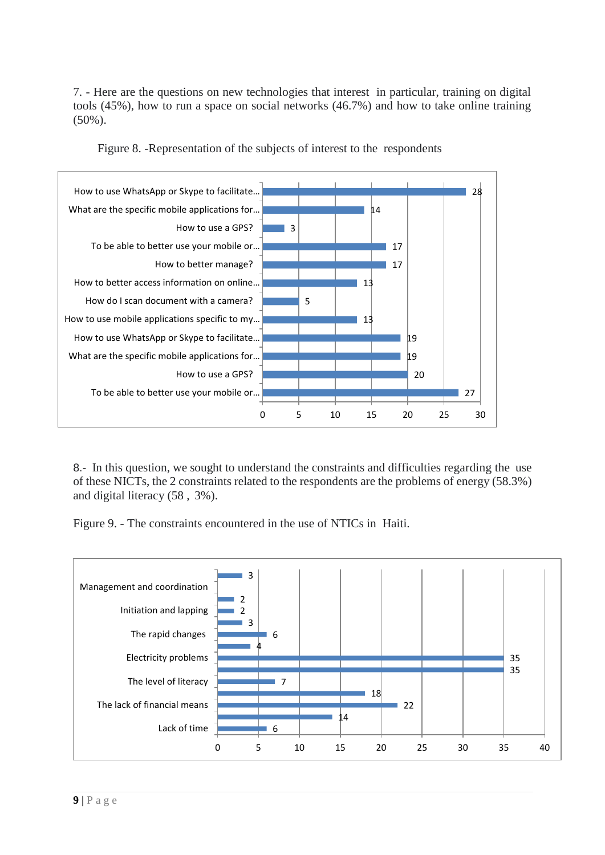7. - Here are the questions on new technologies that interest in particular, training on digital tools (45%), how to run a space on social networks (46.7%) and how to take online training (50%).



Figure 8. -Representation of the subjects of interest to the respondents

8.- In this question, we sought to understand the constraints and difficulties regarding the use of these NICTs, the 2 constraints related to the respondents are the problems of energy (58.3%) and digital literacy (58 , 3%).

Figure 9. - The constraints encountered in the use of NTICs in Haiti.

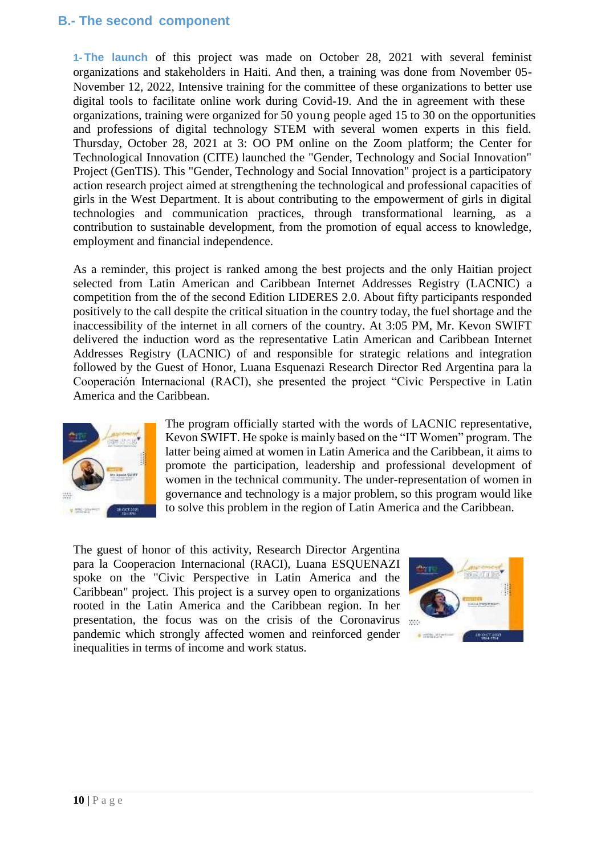## <span id="page-11-0"></span>**B.- The second component**

<span id="page-11-1"></span>**1- The launch** of this project was made on October 28, 2021 with several feminist organizations and stakeholders in Haiti. And then, a training was done from November 05- November 12, 2022, Intensive training for the committee of these organizations to better use digital tools to facilitate online work during Covid-19. And the in agreement with these organizations, training were organized for 50 young people aged 15 to 30 on the opportunities and professions of digital technology STEM with several women experts in this field. Thursday, October 28, 2021 at 3: OO PM online on the Zoom platform; the Center for Technological Innovation (CITE) launched the "Gender, Technology and Social Innovation" Project (GenTIS). This "Gender, Technology and Social Innovation" project is a participatory action research project aimed at strengthening the technological and professional capacities of girls in the West Department. It is about contributing to the empowerment of girls in digital technologies and communication practices, through transformational learning, as a contribution to sustainable development, from the promotion of equal access to knowledge, employment and financial independence.

As a reminder, this project is ranked among the best projects and the only Haitian project selected from Latin American and Caribbean Internet Addresses Registry (LACNIC) a competition from the of the second Edition LIDERES 2.0. About fifty participants responded positively to the call despite the critical situation in the country today, the fuel shortage and the inaccessibility of the internet in all corners of the country. At 3:05 PM, Mr. Kevon SWIFT delivered the induction word as the representative Latin American and Caribbean Internet Addresses Registry (LACNIC) of and responsible for strategic relations and integration followed by the Guest of Honor, Luana Esquenazi Research Director Red Argentina para la Cooperación Internacional (RACI), she presented the project "Civic Perspective in Latin America and the Caribbean.



The program officially started with the words of LACNIC representative, Kevon SWIFT. He spoke is mainly based on the "IT Women" program. The latter being aimed at women in Latin America and the Caribbean, it aims to promote the participation, leadership and professional development of women in the technical community. The under-representation of women in governance and technology is a major problem, so this program would like to solve this problem in the region of Latin America and the Caribbean.

The guest of honor of this activity, Research Director Argentina para la Cooperacion Internacional (RACI), Luana ESQUENAZI spoke on the "Civic Perspective in Latin America and the Caribbean" project. This project is a survey open to organizations rooted in the Latin America and the Caribbean region. In her presentation, the focus was on the crisis of the Coronavirus pandemic which strongly affected women and reinforced gender inequalities in terms of income and work status.

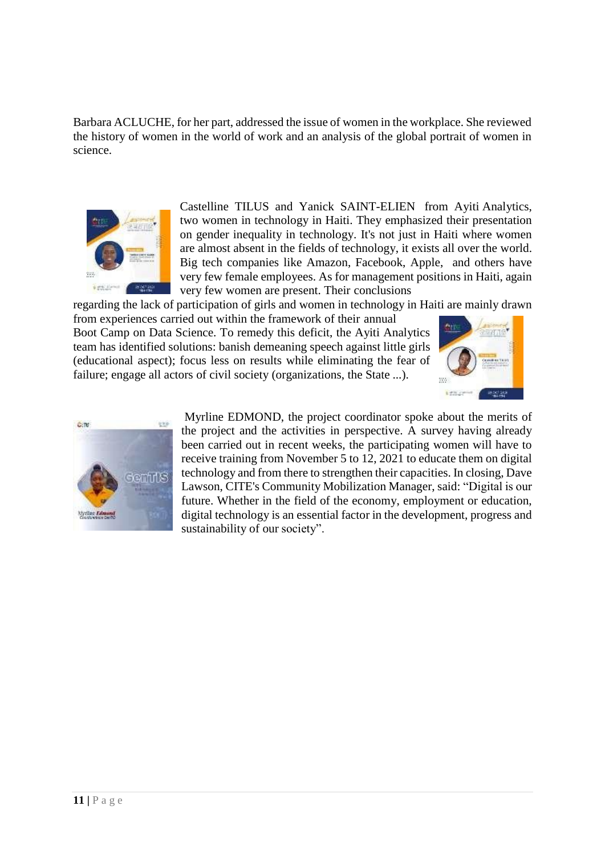Barbara ACLUCHE, for her part, addressed the issue of women in the workplace. She reviewed the history of women in the world of work and an analysis of the global portrait of women in science.



Castelline TILUS and Yanick SAINT-ELIEN from Ayiti Analytics, two women in technology in Haiti. They emphasized their presentation on gender inequality in technology. It's not just in Haiti where women are almost absent in the fields of technology, it exists all over the world. Big tech companies like Amazon, Facebook, Apple, and others have very few female employees. As for management positions in Haiti, again very few women are present. Their conclusions

regarding the lack of participation of girls and women in technology in Haiti are mainly drawn

from experiences carried out within the framework of their annual Boot Camp on Data Science. To remedy this deficit, the Ayiti Analytics team has identified solutions: banish demeaning speech against little girls (educational aspect); focus less on results while eliminating the fear of failure; engage all actors of civil society (organizations, the State ...).





Myrline EDMOND, the project coordinator spoke about the merits of the project and the activities in perspective. A survey having already been carried out in recent weeks, the participating women will have to receive training from November 5 to 12, 2021 to educate them on digital technology and from there to strengthen their capacities. In closing, Dave Lawson, CITE's Community Mobilization Manager, said: "Digital is our future. Whether in the field of the economy, employment or education, digital technology is an essential factor in the development, progress and sustainability of our society".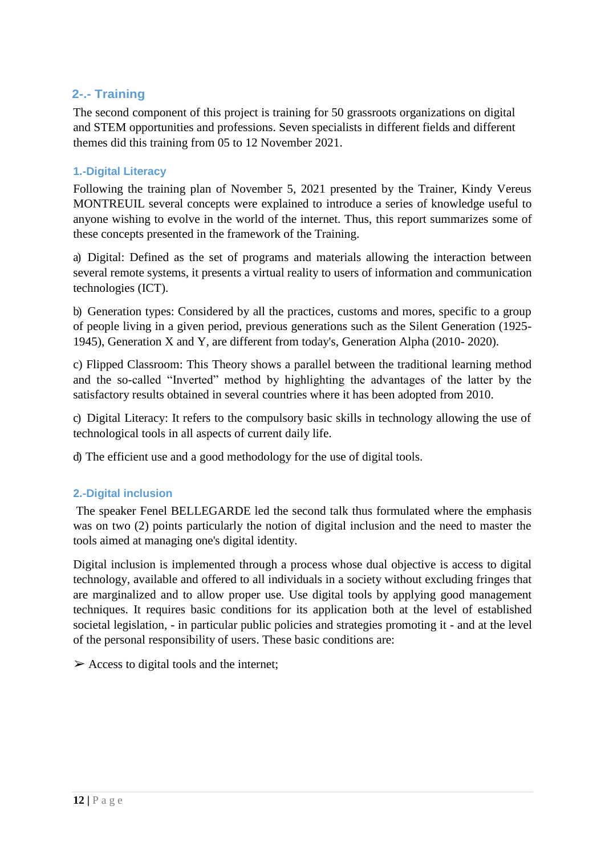## <span id="page-13-0"></span> **2-.- Training**

The second component of this project is training for 50 grassroots organizations on digital and STEM opportunities and professions. Seven specialists in different fields and different themes did this training from 05 to 12 November 2021.

#### <span id="page-13-1"></span>**1.-Digital Literacy**

Following the training plan of November 5, 2021 presented by the Trainer, Kindy Vereus MONTREUIL several concepts were explained to introduce a series of knowledge useful to anyone wishing to evolve in the world of the internet. Thus, this report summarizes some of these concepts presented in the framework of the Training.

a) Digital: Defined as the set of programs and materials allowing the interaction between several remote systems, it presents a virtual reality to users of information and communication technologies (ICT).

b) Generation types: Considered by all the practices, customs and mores, specific to a group of people living in a given period, previous generations such as the Silent Generation (1925- 1945), Generation X and Y, are different from today's, Generation Alpha (2010- 2020).

c) Flipped Classroom: This Theory shows a parallel between the traditional learning method and the so-called "Inverted" method by highlighting the advantages of the latter by the satisfactory results obtained in several countries where it has been adopted from 2010.

c) Digital Literacy: It refers to the compulsory basic skills in technology allowing the use of technological tools in all aspects of current daily life.

d) The efficient use and a good methodology for the use of digital tools.

#### <span id="page-13-2"></span>**2.-Digital inclusion**

The speaker Fenel BELLEGARDE led the second talk thus formulated where the emphasis was on two (2) points particularly the notion of digital inclusion and the need to master the tools aimed at managing one's digital identity.

Digital inclusion is implemented through a process whose dual objective is access to digital technology, available and offered to all individuals in a society without excluding fringes that are marginalized and to allow proper use. Use digital tools by applying good management techniques. It requires basic conditions for its application both at the level of established societal legislation, - in particular public policies and strategies promoting it - and at the level of the personal responsibility of users. These basic conditions are:

 $\triangleright$  Access to digital tools and the internet;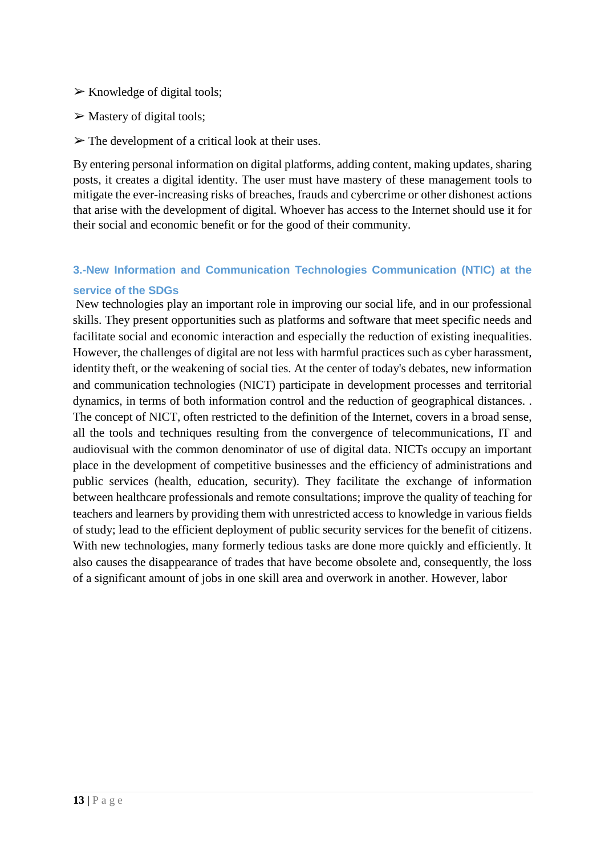- $\triangleright$  Knowledge of digital tools;
- $\triangleright$  Mastery of digital tools;
- $\triangleright$  The development of a critical look at their uses.

By entering personal information on digital platforms, adding content, making updates, sharing posts, it creates a digital identity. The user must have mastery of these management tools to mitigate the ever-increasing risks of breaches, frauds and cybercrime or other dishonest actions that arise with the development of digital. Whoever has access to the Internet should use it for their social and economic benefit or for the good of their community.

## <span id="page-14-0"></span>**3.-New Information and Communication Technologies Communication (NTIC) at the service of the SDGs**

New technologies play an important role in improving our social life, and in our professional skills. They present opportunities such as platforms and software that meet specific needs and facilitate social and economic interaction and especially the reduction of existing inequalities. However, the challenges of digital are not less with harmful practices such as cyber harassment, identity theft, or the weakening of social ties. At the center of today's debates, new information and communication technologies (NICT) participate in development processes and territorial dynamics, in terms of both information control and the reduction of geographical distances. . The concept of NICT, often restricted to the definition of the Internet, covers in a broad sense, all the tools and techniques resulting from the convergence of telecommunications, IT and audiovisual with the common denominator of use of digital data. NICTs occupy an important place in the development of competitive businesses and the efficiency of administrations and public services (health, education, security). They facilitate the exchange of information between healthcare professionals and remote consultations; improve the quality of teaching for teachers and learners by providing them with unrestricted access to knowledge in various fields of study; lead to the efficient deployment of public security services for the benefit of citizens. With new technologies, many formerly tedious tasks are done more quickly and efficiently. It also causes the disappearance of trades that have become obsolete and, consequently, the loss of a significant amount of jobs in one skill area and overwork in another. However, labor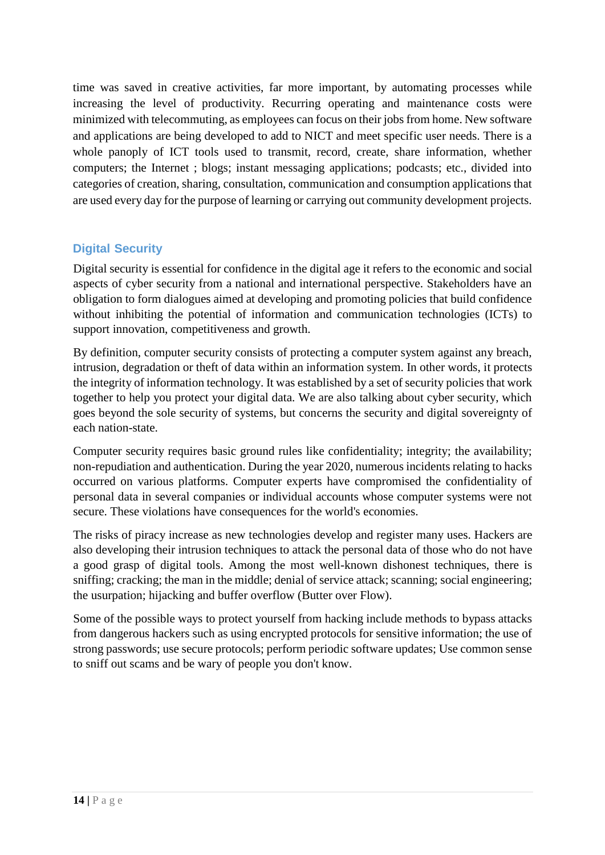time was saved in creative activities, far more important, by automating processes while increasing the level of productivity. Recurring operating and maintenance costs were minimized with telecommuting, as employees can focus on their jobs from home. New software and applications are being developed to add to NICT and meet specific user needs. There is a whole panoply of ICT tools used to transmit, record, create, share information, whether computers; the Internet ; blogs; instant messaging applications; podcasts; etc., divided into categories of creation, sharing, consultation, communication and consumption applications that are used every day for the purpose of learning or carrying out community development projects.

## <span id="page-15-0"></span>**Digital Security**

Digital security is essential for confidence in the digital age it refers to the economic and social aspects of cyber security from a national and international perspective. Stakeholders have an obligation to form dialogues aimed at developing and promoting policies that build confidence without inhibiting the potential of information and communication technologies (ICTs) to support innovation, competitiveness and growth.

By definition, computer security consists of protecting a computer system against any breach, intrusion, degradation or theft of data within an information system. In other words, it protects the integrity of information technology. It was established by a set of security policies that work together to help you protect your digital data. We are also talking about cyber security, which goes beyond the sole security of systems, but concerns the security and digital sovereignty of each nation-state.

Computer security requires basic ground rules like confidentiality; integrity; the availability; non-repudiation and authentication. During the year 2020, numerous incidents relating to hacks occurred on various platforms. Computer experts have compromised the confidentiality of personal data in several companies or individual accounts whose computer systems were not secure. These violations have consequences for the world's economies.

The risks of piracy increase as new technologies develop and register many uses. Hackers are also developing their intrusion techniques to attack the personal data of those who do not have a good grasp of digital tools. Among the most well-known dishonest techniques, there is sniffing; cracking; the man in the middle; denial of service attack; scanning; social engineering; the usurpation; hijacking and buffer overflow (Butter over Flow).

Some of the possible ways to protect yourself from hacking include methods to bypass attacks from dangerous hackers such as using encrypted protocols for sensitive information; the use of strong passwords; use secure protocols; perform periodic software updates; Use common sense to sniff out scams and be wary of people you don't know.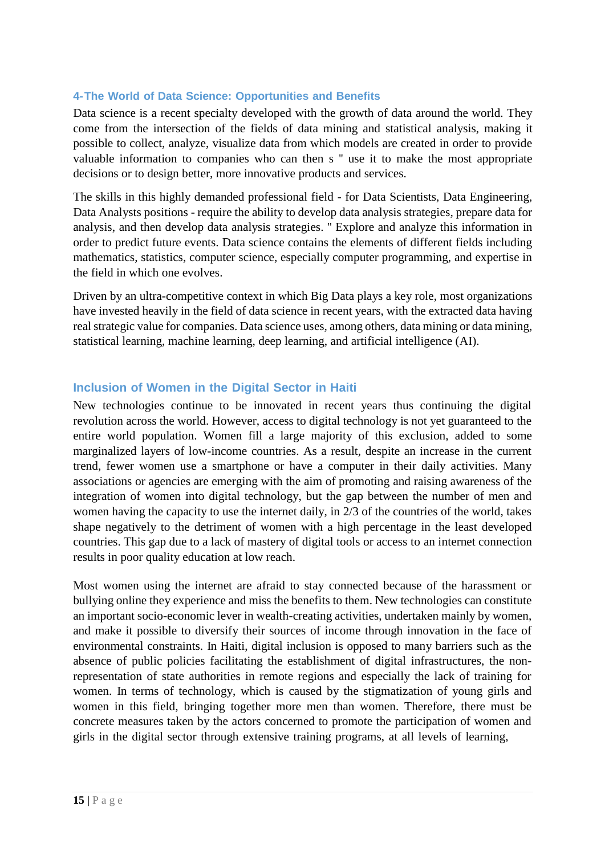#### <span id="page-16-0"></span>**4-The World of Data Science: Opportunities and Benefits**

Data science is a recent specialty developed with the growth of data around the world. They come from the intersection of the fields of data mining and statistical analysis, making it possible to collect, analyze, visualize data from which models are created in order to provide valuable information to companies who can then s '' use it to make the most appropriate decisions or to design better, more innovative products and services.

The skills in this highly demanded professional field - for Data Scientists, Data Engineering, Data Analysts positions - require the ability to develop data analysis strategies, prepare data for analysis, and then develop data analysis strategies. '' Explore and analyze this information in order to predict future events. Data science contains the elements of different fields including mathematics, statistics, computer science, especially computer programming, and expertise in the field in which one evolves.

Driven by an ultra-competitive context in which Big Data plays a key role, most organizations have invested heavily in the field of data science in recent years, with the extracted data having real strategic value for companies. Data science uses, among others, data mining or data mining, statistical learning, machine learning, deep learning, and artificial intelligence (AI).

#### <span id="page-16-1"></span>**Inclusion of Women in the Digital Sector in Haiti**

New technologies continue to be innovated in recent years thus continuing the digital revolution across the world. However, access to digital technology is not yet guaranteed to the entire world population. Women fill a large majority of this exclusion, added to some marginalized layers of low-income countries. As a result, despite an increase in the current trend, fewer women use a smartphone or have a computer in their daily activities. Many associations or agencies are emerging with the aim of promoting and raising awareness of the integration of women into digital technology, but the gap between the number of men and women having the capacity to use the internet daily, in 2/3 of the countries of the world, takes shape negatively to the detriment of women with a high percentage in the least developed countries. This gap due to a lack of mastery of digital tools or access to an internet connection results in poor quality education at low reach.

Most women using the internet are afraid to stay connected because of the harassment or bullying online they experience and miss the benefits to them. New technologies can constitute an important socio-economic lever in wealth-creating activities, undertaken mainly by women, and make it possible to diversify their sources of income through innovation in the face of environmental constraints. In Haiti, digital inclusion is opposed to many barriers such as the absence of public policies facilitating the establishment of digital infrastructures, the nonrepresentation of state authorities in remote regions and especially the lack of training for women. In terms of technology, which is caused by the stigmatization of young girls and women in this field, bringing together more men than women. Therefore, there must be concrete measures taken by the actors concerned to promote the participation of women and girls in the digital sector through extensive training programs, at all levels of learning,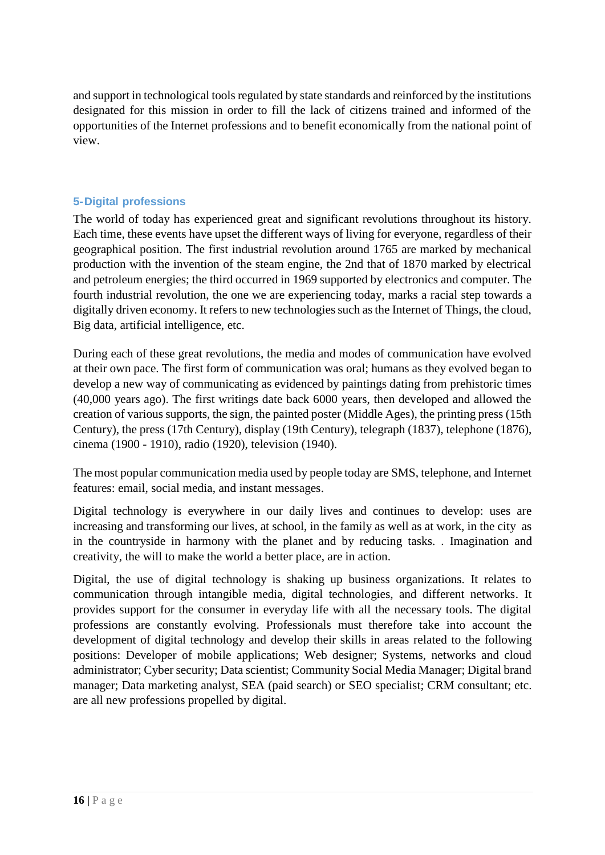and support in technological tools regulated by state standards and reinforced by the institutions designated for this mission in order to fill the lack of citizens trained and informed of the opportunities of the Internet professions and to benefit economically from the national point of view.

### <span id="page-17-0"></span>**5-Digital professions**

The world of today has experienced great and significant revolutions throughout its history. Each time, these events have upset the different ways of living for everyone, regardless of their geographical position. The first industrial revolution around 1765 are marked by mechanical production with the invention of the steam engine, the 2nd that of 1870 marked by electrical and petroleum energies; the third occurred in 1969 supported by electronics and computer. The fourth industrial revolution, the one we are experiencing today, marks a racial step towards a digitally driven economy. It refers to new technologies such as the Internet of Things, the cloud, Big data, artificial intelligence, etc.

During each of these great revolutions, the media and modes of communication have evolved at their own pace. The first form of communication was oral; humans as they evolved began to develop a new way of communicating as evidenced by paintings dating from prehistoric times (40,000 years ago). The first writings date back 6000 years, then developed and allowed the creation of various supports, the sign, the painted poster (Middle Ages), the printing press (15th Century), the press (17th Century), display (19th Century), telegraph (1837), telephone (1876), cinema (1900 - 1910), radio (1920), television (1940).

The most popular communication media used by people today are SMS, telephone, and Internet features: email, social media, and instant messages.

Digital technology is everywhere in our daily lives and continues to develop: uses are increasing and transforming our lives, at school, in the family as well as at work, in the city as in the countryside in harmony with the planet and by reducing tasks. . Imagination and creativity, the will to make the world a better place, are in action.

Digital, the use of digital technology is shaking up business organizations. It relates to communication through intangible media, digital technologies, and different networks. It provides support for the consumer in everyday life with all the necessary tools. The digital professions are constantly evolving. Professionals must therefore take into account the development of digital technology and develop their skills in areas related to the following positions: Developer of mobile applications; Web designer; Systems, networks and cloud administrator; Cyber security; Data scientist; Community Social Media Manager; Digital brand manager; Data marketing analyst, SEA (paid search) or SEO specialist; CRM consultant; etc. are all new professions propelled by digital.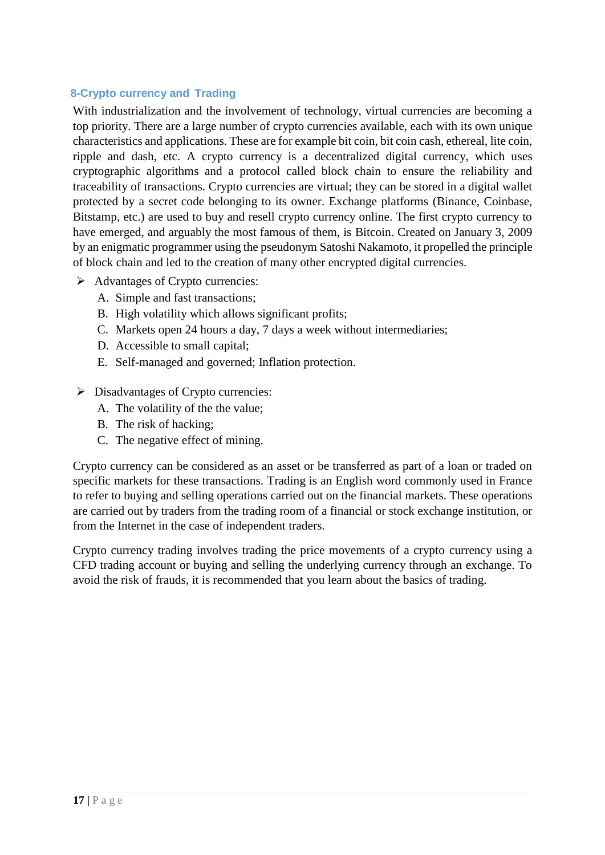#### <span id="page-18-0"></span> **8-Crypto currency and Trading**

With industrialization and the involvement of technology, virtual currencies are becoming a top priority. There are a large number of crypto currencies available, each with its own unique characteristics and applications. These are for example bit coin, bit coin cash, ethereal, lite coin, ripple and dash, etc. A crypto currency is a decentralized digital currency, which uses cryptographic algorithms and a protocol called block chain to ensure the reliability and traceability of transactions. Crypto currencies are virtual; they can be stored in a digital wallet protected by a secret code belonging to its owner. Exchange platforms (Binance, Coinbase, Bitstamp, etc.) are used to buy and resell crypto currency online. The first crypto currency to have emerged, and arguably the most famous of them, is Bitcoin. Created on January 3, 2009 by an enigmatic programmer using the pseudonym Satoshi Nakamoto, it propelled the principle of block chain and led to the creation of many other encrypted digital currencies.

- $\triangleright$  Advantages of Crypto currencies:
	- A. Simple and fast transactions;
	- B. High volatility which allows significant profits;
	- C. Markets open 24 hours a day, 7 days a week without intermediaries;
	- D. Accessible to small capital;
	- E. Self-managed and governed; Inflation protection.
- $\triangleright$  Disadvantages of Crypto currencies:
	- A. The volatility of the the value;
	- B. The risk of hacking;
	- C. The negative effect of mining.

Crypto currency can be considered as an asset or be transferred as part of a loan or traded on specific markets for these transactions. Trading is an English word commonly used in France to refer to buying and selling operations carried out on the financial markets. These operations are carried out by traders from the trading room of a financial or stock exchange institution, or from the Internet in the case of independent traders.

Crypto currency trading involves trading the price movements of a crypto currency using a CFD trading account or buying and selling the underlying currency through an exchange. To avoid the risk of frauds, it is recommended that you learn about the basics of trading.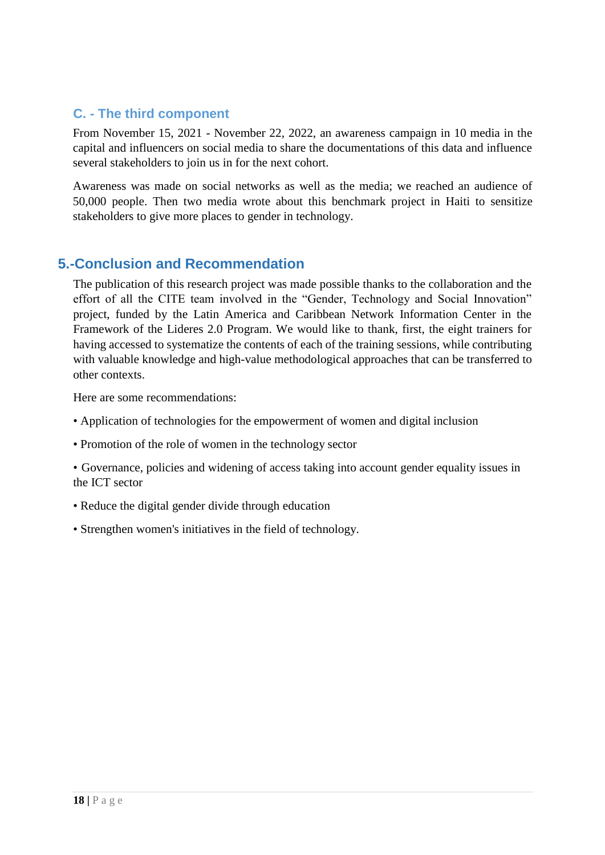## <span id="page-19-0"></span>**C. - The third component**

From November 15, 2021 - November 22, 2022, an awareness campaign in 10 media in the capital and influencers on social media to share the documentations of this data and influence several stakeholders to join us in for the next cohort.

Awareness was made on social networks as well as the media; we reached an audience of 50,000 people. Then two media wrote about this benchmark project in Haiti to sensitize stakeholders to give more places to gender in technology.

## **5.-Conclusion and Recommendation**

The publication of this research project was made possible thanks to the collaboration and the effort of all the CITE team involved in the "Gender, Technology and Social Innovation" project, funded by the Latin America and Caribbean Network Information Center in the Framework of the Lideres 2.0 Program. We would like to thank, first, the eight trainers for having accessed to systematize the contents of each of the training sessions, while contributing with valuable knowledge and high-value methodological approaches that can be transferred to other contexts.

Here are some recommendations:

- Application of technologies for the empowerment of women and digital inclusion
- Promotion of the role of women in the technology sector
- Governance, policies and widening of access taking into account gender equality issues in the ICT sector
- Reduce the digital gender divide through education
- Strengthen women's initiatives in the field of technology.